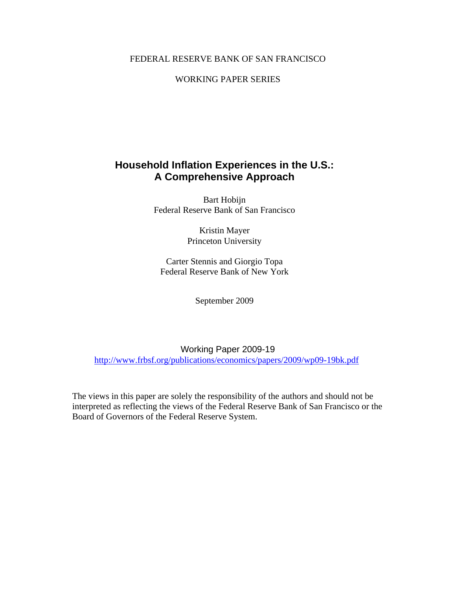#### FEDERAL RESERVE BANK OF SAN FRANCISCO

## WORKING PAPER SERIES

# **Household Inflation Experiences in the U.S.: A Comprehensive Approach**

Bart Hobijn Federal Reserve Bank of San Francisco

> Kristin Mayer Princeton University

Carter Stennis and Giorgio Topa Federal Reserve Bank of New York

September 2009

Working Paper 2009-19 http://www.frbsf.org/publications/economics/papers/2009/wp09-19bk.pdf

The views in this paper are solely the responsibility of the authors and should not be interpreted as reflecting the views of the Federal Reserve Bank of San Francisco or the Board of Governors of the Federal Reserve System.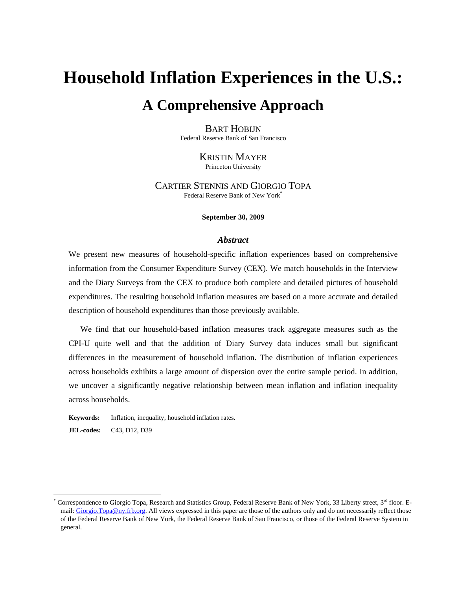# **Household Inflation Experiences in the U.S.: A Comprehensive Approach**

#### BART HOBIJN Federal Reserve Bank of San Francisco

KRISTIN MAYER Princeton University

CARTIER STENNIS AND GIORGIO TOPA Federal Reserve Bank of New York\*

#### **September 30, 2009**

#### *Abstract*

We present new measures of household-specific inflation experiences based on comprehensive information from the Consumer Expenditure Survey (CEX). We match households in the Interview and the Diary Surveys from the CEX to produce both complete and detailed pictures of household expenditures. The resulting household inflation measures are based on a more accurate and detailed description of household expenditures than those previously available.

 We find that our household-based inflation measures track aggregate measures such as the CPI-U quite well and that the addition of Diary Survey data induces small but significant differences in the measurement of household inflation. The distribution of inflation experiences across households exhibits a large amount of dispersion over the entire sample period. In addition, we uncover a significantly negative relationship between mean inflation and inflation inequality across households.

**Keywords:** Inflation, inequality, household inflation rates. **JEL-codes:** C43, D12, D39

<sup>\*</sup> Correspondence to Giorgio Topa, Research and Statistics Group, Federal Reserve Bank of New York, 33 Liberty street, 3rd floor. Email: Giorgio.Topa@ny.frb.org. All views expressed in this paper are those of the authors only and do not necessarily reflect those of the Federal Reserve Bank of New York, the Federal Reserve Bank of San Francisco, or those of the Federal Reserve System in general.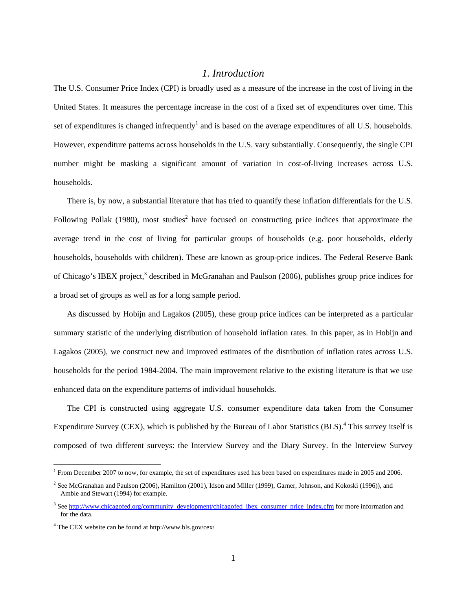#### *1. Introduction*

The U.S. Consumer Price Index (CPI) is broadly used as a measure of the increase in the cost of living in the United States. It measures the percentage increase in the cost of a fixed set of expenditures over time. This set of expenditures is changed infrequently<sup>1</sup> and is based on the average expenditures of all U.S. households. However, expenditure patterns across households in the U.S. vary substantially. Consequently, the single CPI number might be masking a significant amount of variation in cost-of-living increases across U.S. households.

There is, by now, a substantial literature that has tried to quantify these inflation differentials for the U.S. Following Pollak (1980), most studies<sup>2</sup> have focused on constructing price indices that approximate the average trend in the cost of living for particular groups of households (e.g. poor households, elderly households, households with children). These are known as group-price indices. The Federal Reserve Bank of Chicago's IBEX project,<sup>3</sup> described in McGranahan and Paulson (2006), publishes group price indices for a broad set of groups as well as for a long sample period.

As discussed by Hobijn and Lagakos (2005), these group price indices can be interpreted as a particular summary statistic of the underlying distribution of household inflation rates. In this paper, as in Hobijn and Lagakos (2005), we construct new and improved estimates of the distribution of inflation rates across U.S. households for the period 1984-2004. The main improvement relative to the existing literature is that we use enhanced data on the expenditure patterns of individual households.

The CPI is constructed using aggregate U.S. consumer expenditure data taken from the Consumer Expenditure Survey (CEX), which is published by the Bureau of Labor Statistics (BLS).<sup>4</sup> This survey itself is composed of two different surveys: the Interview Survey and the Diary Survey. In the Interview Survey

<sup>&</sup>lt;sup>1</sup> From December 2007 to now, for example, the set of expenditures used has been based on expenditures made in 2005 and 2006.

<sup>&</sup>lt;sup>2</sup> See McGranahan and Paulson (2006), Hamilton (2001), Idson and Miller (1999), Garner, Johnson, and Kokoski (1996)), and Amble and Stewart (1994) for example.

<sup>&</sup>lt;sup>3</sup> See http://www.chicagofed.org/community\_development/chicagofed\_ibex\_consumer\_price\_index.cfm for more information and for the data.

<sup>4</sup> The CEX website can be found at http://www.bls.gov/cex/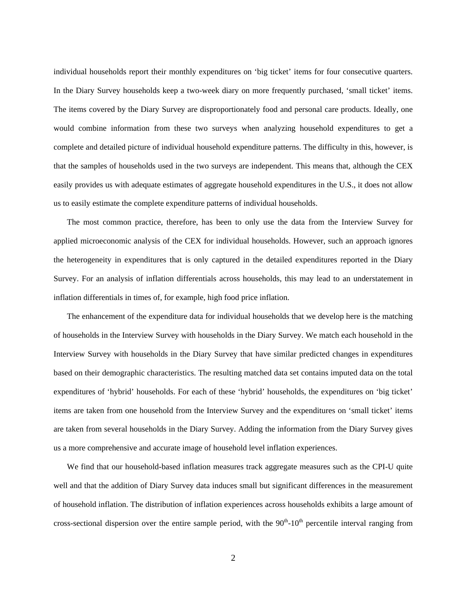individual households report their monthly expenditures on 'big ticket' items for four consecutive quarters. In the Diary Survey households keep a two-week diary on more frequently purchased, 'small ticket' items. The items covered by the Diary Survey are disproportionately food and personal care products. Ideally, one would combine information from these two surveys when analyzing household expenditures to get a complete and detailed picture of individual household expenditure patterns. The difficulty in this, however, is that the samples of households used in the two surveys are independent. This means that, although the CEX easily provides us with adequate estimates of aggregate household expenditures in the U.S., it does not allow us to easily estimate the complete expenditure patterns of individual households.

The most common practice, therefore, has been to only use the data from the Interview Survey for applied microeconomic analysis of the CEX for individual households. However, such an approach ignores the heterogeneity in expenditures that is only captured in the detailed expenditures reported in the Diary Survey. For an analysis of inflation differentials across households, this may lead to an understatement in inflation differentials in times of, for example, high food price inflation.

The enhancement of the expenditure data for individual households that we develop here is the matching of households in the Interview Survey with households in the Diary Survey. We match each household in the Interview Survey with households in the Diary Survey that have similar predicted changes in expenditures based on their demographic characteristics. The resulting matched data set contains imputed data on the total expenditures of 'hybrid' households. For each of these 'hybrid' households, the expenditures on 'big ticket' items are taken from one household from the Interview Survey and the expenditures on 'small ticket' items are taken from several households in the Diary Survey. Adding the information from the Diary Survey gives us a more comprehensive and accurate image of household level inflation experiences.

We find that our household-based inflation measures track aggregate measures such as the CPI-U quite well and that the addition of Diary Survey data induces small but significant differences in the measurement of household inflation. The distribution of inflation experiences across households exhibits a large amount of cross-sectional dispersion over the entire sample period, with the  $90<sup>th</sup>$ -10<sup>th</sup> percentile interval ranging from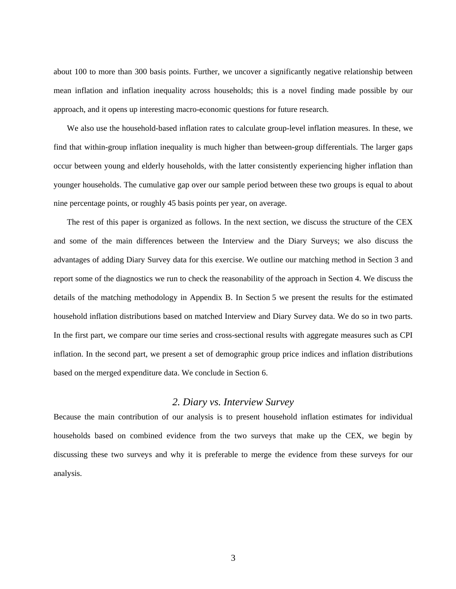about 100 to more than 300 basis points. Further, we uncover a significantly negative relationship between mean inflation and inflation inequality across households; this is a novel finding made possible by our approach, and it opens up interesting macro-economic questions for future research.

We also use the household-based inflation rates to calculate group-level inflation measures. In these, we find that within-group inflation inequality is much higher than between-group differentials. The larger gaps occur between young and elderly households, with the latter consistently experiencing higher inflation than younger households. The cumulative gap over our sample period between these two groups is equal to about nine percentage points, or roughly 45 basis points per year, on average.

The rest of this paper is organized as follows. In the next section, we discuss the structure of the CEX and some of the main differences between the Interview and the Diary Surveys; we also discuss the advantages of adding Diary Survey data for this exercise. We outline our matching method in Section 3 and report some of the diagnostics we run to check the reasonability of the approach in Section 4. We discuss the details of the matching methodology in Appendix B. In Section 5 we present the results for the estimated household inflation distributions based on matched Interview and Diary Survey data. We do so in two parts. In the first part, we compare our time series and cross-sectional results with aggregate measures such as CPI inflation. In the second part, we present a set of demographic group price indices and inflation distributions based on the merged expenditure data. We conclude in Section 6.

## *2. Diary vs. Interview Survey*

Because the main contribution of our analysis is to present household inflation estimates for individual households based on combined evidence from the two surveys that make up the CEX, we begin by discussing these two surveys and why it is preferable to merge the evidence from these surveys for our analysis.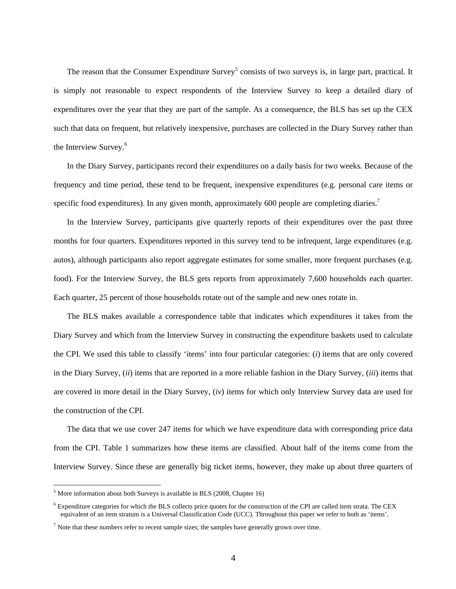The reason that the Consumer Expenditure Survey<sup>5</sup> consists of two surveys is, in large part, practical. It is simply not reasonable to expect respondents of the Interview Survey to keep a detailed diary of expenditures over the year that they are part of the sample. As a consequence, the BLS has set up the CEX such that data on frequent, but relatively inexpensive, purchases are collected in the Diary Survey rather than the Interview Survey.<sup>6</sup>

In the Diary Survey, participants record their expenditures on a daily basis for two weeks. Because of the frequency and time period, these tend to be frequent, inexpensive expenditures (e.g. personal care items or specific food expenditures). In any given month, approximately 600 people are completing diaries.<sup>7</sup>

In the Interview Survey, participants give quarterly reports of their expenditures over the past three months for four quarters. Expenditures reported in this survey tend to be infrequent, large expenditures (e.g. autos), although participants also report aggregate estimates for some smaller, more frequent purchases (e.g. food). For the Interview Survey, the BLS gets reports from approximately 7,600 households each quarter. Each quarter, 25 percent of those households rotate out of the sample and new ones rotate in.

The BLS makes available a correspondence table that indicates which expenditures it takes from the Diary Survey and which from the Interview Survey in constructing the expenditure baskets used to calculate the CPI. We used this table to classify 'items' into four particular categories: (*i*) items that are only covered in the Diary Survey, (*ii*) items that are reported in a more reliable fashion in the Diary Survey, (*iii*) items that are covered in more detail in the Diary Survey, (*iv*) items for which only Interview Survey data are used for the construction of the CPI.

The data that we use cover 247 items for which we have expenditure data with corresponding price data from the CPI. Table 1 summarizes how these items are classified. About half of the items come from the Interview Survey. Since these are generally big ticket items, however, they make up about three quarters of

 $<sup>5</sup>$  More information about both Surveys is available in BLS (2008, Chapter 16)</sup>

 $6$  Expenditure categories for which the BLS collects price quotes for the construction of the CPI are called item strata. The CEX equivalent of an item stratum is a Universal Classification Code (UCC). Throughout this paper we refer to both as 'items'.

 $<sup>7</sup>$  Note that these numbers refer to recent sample sizes; the samples have generally grown over time.</sup>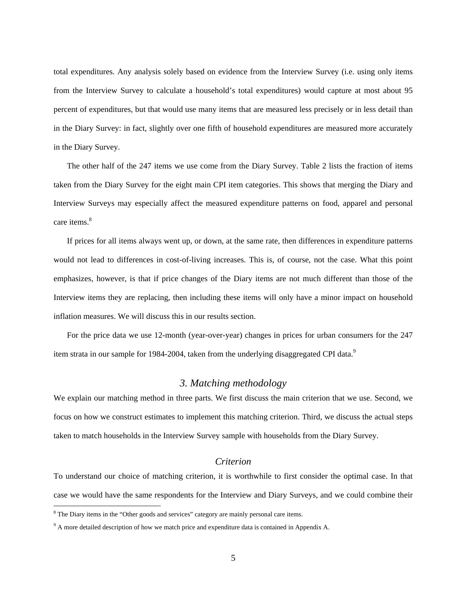total expenditures. Any analysis solely based on evidence from the Interview Survey (i.e. using only items from the Interview Survey to calculate a household's total expenditures) would capture at most about 95 percent of expenditures, but that would use many items that are measured less precisely or in less detail than in the Diary Survey: in fact, slightly over one fifth of household expenditures are measured more accurately in the Diary Survey.

The other half of the 247 items we use come from the Diary Survey. Table 2 lists the fraction of items taken from the Diary Survey for the eight main CPI item categories. This shows that merging the Diary and Interview Surveys may especially affect the measured expenditure patterns on food, apparel and personal care items.<sup>8</sup>

If prices for all items always went up, or down, at the same rate, then differences in expenditure patterns would not lead to differences in cost-of-living increases. This is, of course, not the case. What this point emphasizes, however, is that if price changes of the Diary items are not much different than those of the Interview items they are replacing, then including these items will only have a minor impact on household inflation measures. We will discuss this in our results section.

For the price data we use 12-month (year-over-year) changes in prices for urban consumers for the 247 item strata in our sample for 1984-2004, taken from the underlying disaggregated CPI data.<sup>9</sup>

## *3. Matching methodology*

We explain our matching method in three parts. We first discuss the main criterion that we use. Second, we focus on how we construct estimates to implement this matching criterion. Third, we discuss the actual steps taken to match households in the Interview Survey sample with households from the Diary Survey.

## *Criterion*

To understand our choice of matching criterion, it is worthwhile to first consider the optimal case. In that case we would have the same respondents for the Interview and Diary Surveys, and we could combine their

<sup>&</sup>lt;sup>8</sup> The Diary items in the "Other goods and services" category are mainly personal care items.

 $9<sup>9</sup>$  A more detailed description of how we match price and expenditure data is contained in Appendix A.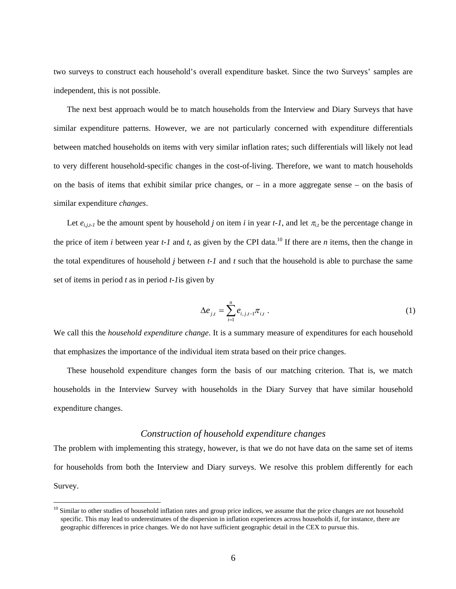two surveys to construct each household's overall expenditure basket. Since the two Surveys' samples are independent, this is not possible.

The next best approach would be to match households from the Interview and Diary Surveys that have similar expenditure patterns. However, we are not particularly concerned with expenditure differentials between matched households on items with very similar inflation rates; such differentials will likely not lead to very different household-specific changes in the cost-of-living. Therefore, we want to match households on the basis of items that exhibit similar price changes, or  $-$  in a more aggregate sense  $-$  on the basis of similar expenditure *changes*.

Let  $e_{i,i,t}$  be the amount spent by household *j* on item *i* in year *t-1*, and let  $\pi_{i,t}$  be the percentage change in the price of item *i* between year *t-1* and *t*, as given by the CPI data.<sup>10</sup> If there are *n* items, then the change in the total expenditures of household *j* between *t-1* and *t* such that the household is able to purchase the same set of items in period *t* as in period *t-1*is given by

$$
\Delta e_{j,t} = \sum_{i=1}^{n} e_{i,j,t-1} \pi_{i,t} .
$$
 (1)

We call this the *household expenditure change*. It is a summary measure of expenditures for each household that emphasizes the importance of the individual item strata based on their price changes.

These household expenditure changes form the basis of our matching criterion. That is, we match households in the Interview Survey with households in the Diary Survey that have similar household expenditure changes.

#### *Construction of household expenditure changes*

The problem with implementing this strategy, however, is that we do not have data on the same set of items for households from both the Interview and Diary surveys. We resolve this problem differently for each Survey.

 $10$  Similar to other studies of household inflation rates and group price indices, we assume that the price changes are not household specific. This may lead to underestimates of the dispersion in inflation experiences across households if, for instance, there are geographic differences in price changes. We do not have sufficient geographic detail in the CEX to pursue this.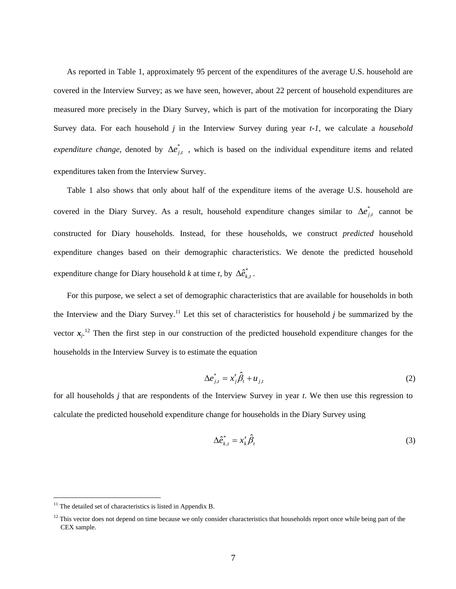As reported in Table 1, approximately 95 percent of the expenditures of the average U.S. household are covered in the Interview Survey; as we have seen, however, about 22 percent of household expenditures are measured more precisely in the Diary Survey, which is part of the motivation for incorporating the Diary Survey data. For each household *j* in the Interview Survey during year *t-1*, we calculate a *household expenditure change*, denoted by  $\Delta e_{j,t}^{*}$ , which is based on the individual expenditure items and related expenditures taken from the Interview Survey.

Table 1 also shows that only about half of the expenditure items of the average U.S. household are covered in the Diary Survey. As a result, household expenditure changes similar to  $\Delta e^*_{j,t}$  cannot be constructed for Diary households. Instead, for these households, we construct *predicted* household expenditure changes based on their demographic characteristics. We denote the predicted household expenditure change for Diary household *k* at time *t*, by  $\Delta \hat{e}_{k,t}^*$ .

For this purpose, we select a set of demographic characteristics that are available for households in both the Interview and the Diary Survey.<sup>11</sup> Let this set of characteristics for household  $j$  be summarized by the vector  $x_j$ <sup>12</sup>. Then the first step in our construction of the predicted household expenditure changes for the households in the Interview Survey is to estimate the equation

$$
\Delta e_{j,t}^* = x_j' \hat{\beta}_t + u_{j,t} \tag{2}
$$

for all households *j* that are respondents of the Interview Survey in year *t*. We then use this regression to calculate the predicted household expenditure change for households in the Diary Survey using

$$
\Delta \hat{e}_{k,t}^* = x_k' \hat{\beta}_t \tag{3}
$$

 $11$  The detailed set of characteristics is listed in Appendix B.

 $12$  This vector does not depend on time because we only consider characteristics that households report once while being part of the CEX sample.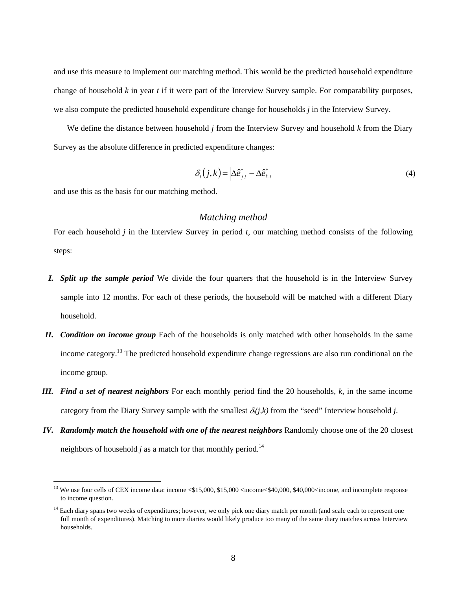and use this measure to implement our matching method. This would be the predicted household expenditure change of household *k* in year *t* if it were part of the Interview Survey sample. For comparability purposes, we also compute the predicted household expenditure change for households *j* in the Interview Survey.

We define the distance between household *j* from the Interview Survey and household *k* from the Diary Survey as the absolute difference in predicted expenditure changes:

$$
\delta_t(j,k) = \left| \Delta \hat{e}_{j,t}^* - \Delta \hat{e}_{k,t}^* \right| \tag{4}
$$

and use this as the basis for our matching method.

 $\overline{a}$ 

#### *Matching method*

For each household *j* in the Interview Survey in period *t*, our matching method consists of the following steps:

- *I. Split up the sample period* We divide the four quarters that the household is in the Interview Survey sample into 12 months. For each of these periods, the household will be matched with a different Diary household.
- *II. Condition on income group* Each of the households is only matched with other households in the same income category.<sup>13</sup> The predicted household expenditure change regressions are also run conditional on the income group.
- *III. Find a set of nearest neighbors* For each monthly period find the 20 households, *k*, in the same income category from the Diary Survey sample with the smallest  $\delta(i,k)$  from the "seed" Interview household *j*.
- *IV. Randomly match the household with one of the nearest neighbors* Randomly choose one of the 20 closest neighbors of household *j* as a match for that monthly period.<sup>14</sup>

<sup>&</sup>lt;sup>13</sup> We use four cells of CEX income data: income  $\leq$  \$15,000, \$15,000  $\leq$  income $\leq$  \$40,000, \$40,000 $\leq$  income, and incomplete response to income question.

<sup>&</sup>lt;sup>14</sup> Each diary spans two weeks of expenditures; however, we only pick one diary match per month (and scale each to represent one full month of expenditures). Matching to more diaries would likely produce too many of the same diary matches across Interview households.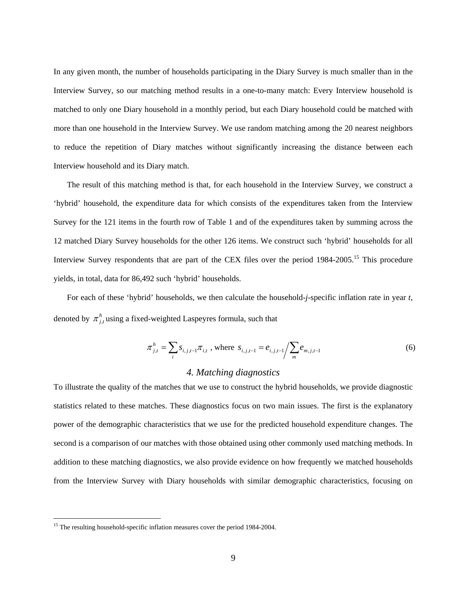In any given month, the number of households participating in the Diary Survey is much smaller than in the Interview Survey, so our matching method results in a one-to-many match: Every Interview household is matched to only one Diary household in a monthly period, but each Diary household could be matched with more than one household in the Interview Survey. We use random matching among the 20 nearest neighbors to reduce the repetition of Diary matches without significantly increasing the distance between each Interview household and its Diary match.

The result of this matching method is that, for each household in the Interview Survey, we construct a 'hybrid' household, the expenditure data for which consists of the expenditures taken from the Interview Survey for the 121 items in the fourth row of Table 1 and of the expenditures taken by summing across the 12 matched Diary Survey households for the other 126 items. We construct such 'hybrid' households for all Interview Survey respondents that are part of the CEX files over the period 1984-2005.<sup>15</sup> This procedure yields, in total, data for 86,492 such 'hybrid' households.

For each of these 'hybrid' households, we then calculate the household-*j*-specific inflation rate in year *t*, denoted by  $\pi_{i}^{h}$ , using a fixed-weighted Laspeyres formula, such that

$$
\pi_{j,t}^h = \sum_i s_{i,j,t-1} \pi_{i,t}, \text{ where } s_{i,j,t-1} = e_{i,j,t-1} / \sum_m e_{m,j,t-1}
$$
 (6)

#### *4. Matching diagnostics*

To illustrate the quality of the matches that we use to construct the hybrid households, we provide diagnostic statistics related to these matches. These diagnostics focus on two main issues. The first is the explanatory power of the demographic characteristics that we use for the predicted household expenditure changes. The second is a comparison of our matches with those obtained using other commonly used matching methods. In addition to these matching diagnostics, we also provide evidence on how frequently we matched households from the Interview Survey with Diary households with similar demographic characteristics, focusing on

<sup>&</sup>lt;sup>15</sup> The resulting household-specific inflation measures cover the period 1984-2004.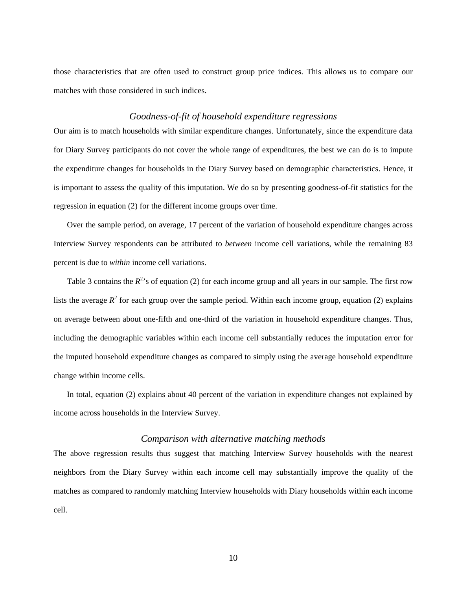those characteristics that are often used to construct group price indices. This allows us to compare our matches with those considered in such indices.

#### *Goodness-of-fit of household expenditure regressions*

Our aim is to match households with similar expenditure changes. Unfortunately, since the expenditure data for Diary Survey participants do not cover the whole range of expenditures, the best we can do is to impute the expenditure changes for households in the Diary Survey based on demographic characteristics. Hence, it is important to assess the quality of this imputation. We do so by presenting goodness-of-fit statistics for the regression in equation (2) for the different income groups over time.

Over the sample period, on average, 17 percent of the variation of household expenditure changes across Interview Survey respondents can be attributed to *between* income cell variations, while the remaining 83 percent is due to *within* income cell variations.

Table 3 contains the  $R^2$ 's of equation (2) for each income group and all years in our sample. The first row lists the average  $R^2$  for each group over the sample period. Within each income group, equation (2) explains on average between about one-fifth and one-third of the variation in household expenditure changes. Thus, including the demographic variables within each income cell substantially reduces the imputation error for the imputed household expenditure changes as compared to simply using the average household expenditure change within income cells.

In total, equation (2) explains about 40 percent of the variation in expenditure changes not explained by income across households in the Interview Survey.

#### *Comparison with alternative matching methods*

The above regression results thus suggest that matching Interview Survey households with the nearest neighbors from the Diary Survey within each income cell may substantially improve the quality of the matches as compared to randomly matching Interview households with Diary households within each income cell.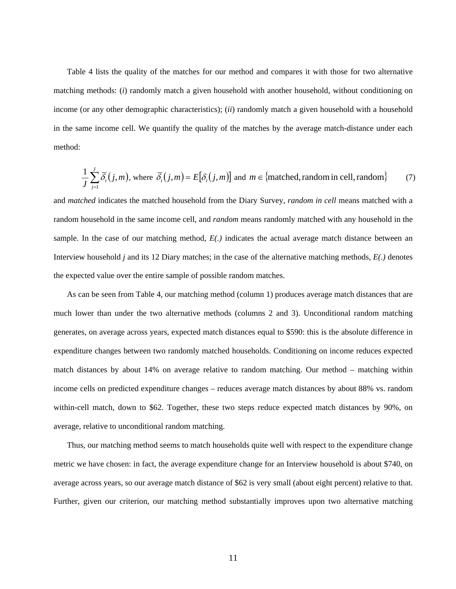Table 4 lists the quality of the matches for our method and compares it with those for two alternative matching methods: (*i*) randomly match a given household with another household, without conditioning on income (or any other demographic characteristics); (*ii*) randomly match a given household with a household in the same income cell. We quantify the quality of the matches by the average match-distance under each method:

$$
\frac{1}{J} \sum_{j=1}^{J} \overline{\delta}_t(j,m)
$$
, where  $\overline{\delta}_t(j,m) = E[\delta_t(j,m)]$  and  $m \in \{\text{matched, random in cell, random}\}\$  (7)

and *matched* indicates the matched household from the Diary Survey, *random in cell* means matched with a random household in the same income cell, and *random* means randomly matched with any household in the sample. In the case of our matching method, *E(.)* indicates the actual average match distance between an Interview household *j* and its 12 Diary matches; in the case of the alternative matching methods, *E(.)* denotes the expected value over the entire sample of possible random matches.

As can be seen from Table 4, our matching method (column 1) produces average match distances that are much lower than under the two alternative methods (columns 2 and 3). Unconditional random matching generates, on average across years, expected match distances equal to \$590: this is the absolute difference in expenditure changes between two randomly matched households. Conditioning on income reduces expected match distances by about 14% on average relative to random matching. Our method – matching within income cells on predicted expenditure changes – reduces average match distances by about 88% vs. random within-cell match, down to \$62. Together, these two steps reduce expected match distances by 90%, on average, relative to unconditional random matching.

Thus, our matching method seems to match households quite well with respect to the expenditure change metric we have chosen: in fact, the average expenditure change for an Interview household is about \$740, on average across years, so our average match distance of \$62 is very small (about eight percent) relative to that. Further, given our criterion, our matching method substantially improves upon two alternative matching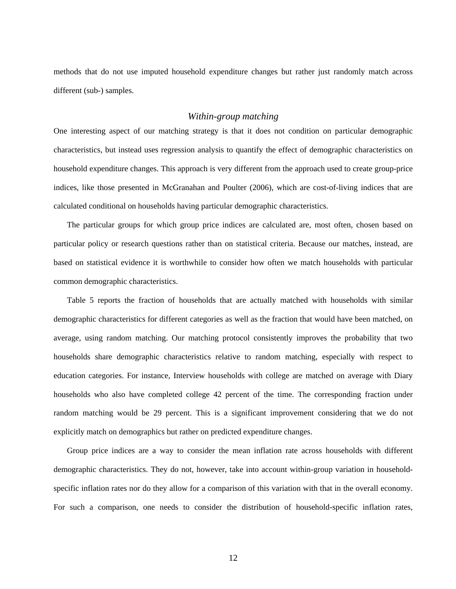methods that do not use imputed household expenditure changes but rather just randomly match across different (sub-) samples.

#### *Within-group matching*

One interesting aspect of our matching strategy is that it does not condition on particular demographic characteristics, but instead uses regression analysis to quantify the effect of demographic characteristics on household expenditure changes. This approach is very different from the approach used to create group-price indices, like those presented in McGranahan and Poulter (2006), which are cost-of-living indices that are calculated conditional on households having particular demographic characteristics.

The particular groups for which group price indices are calculated are, most often, chosen based on particular policy or research questions rather than on statistical criteria. Because our matches, instead, are based on statistical evidence it is worthwhile to consider how often we match households with particular common demographic characteristics.

Table 5 reports the fraction of households that are actually matched with households with similar demographic characteristics for different categories as well as the fraction that would have been matched, on average, using random matching. Our matching protocol consistently improves the probability that two households share demographic characteristics relative to random matching, especially with respect to education categories. For instance, Interview households with college are matched on average with Diary households who also have completed college 42 percent of the time. The corresponding fraction under random matching would be 29 percent. This is a significant improvement considering that we do not explicitly match on demographics but rather on predicted expenditure changes.

Group price indices are a way to consider the mean inflation rate across households with different demographic characteristics. They do not, however, take into account within-group variation in householdspecific inflation rates nor do they allow for a comparison of this variation with that in the overall economy. For such a comparison, one needs to consider the distribution of household-specific inflation rates,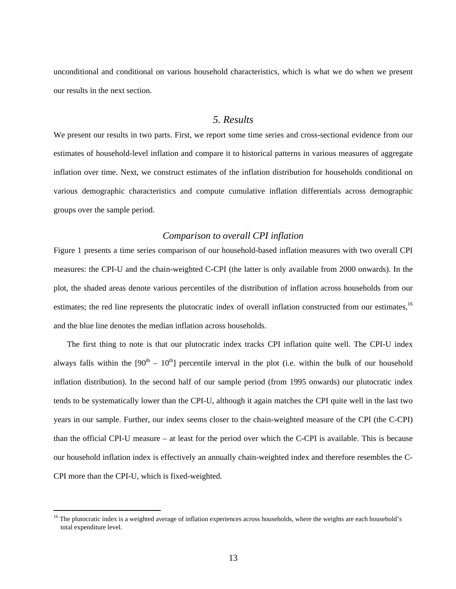unconditional and conditional on various household characteristics, which is what we do when we present our results in the next section.

## *5. Results*

We present our results in two parts. First, we report some time series and cross-sectional evidence from our estimates of household-level inflation and compare it to historical patterns in various measures of aggregate inflation over time. Next, we construct estimates of the inflation distribution for households conditional on various demographic characteristics and compute cumulative inflation differentials across demographic groups over the sample period.

#### *Comparison to overall CPI inflation*

Figure 1 presents a time series comparison of our household-based inflation measures with two overall CPI measures: the CPI-U and the chain-weighted C-CPI (the latter is only available from 2000 onwards). In the plot, the shaded areas denote various percentiles of the distribution of inflation across households from our estimates; the red line represents the plutocratic index of overall inflation constructed from our estimates.<sup>16</sup> and the blue line denotes the median inflation across households.

The first thing to note is that our plutocratic index tracks CPI inflation quite well. The CPI-U index always falls within the  $[90<sup>th</sup> - 10<sup>th</sup>]$  percentile interval in the plot (i.e. within the bulk of our household inflation distribution). In the second half of our sample period (from 1995 onwards) our plutocratic index tends to be systematically lower than the CPI-U, although it again matches the CPI quite well in the last two years in our sample. Further, our index seems closer to the chain-weighted measure of the CPI (the C-CPI) than the official CPI-U measure – at least for the period over which the C-CPI is available. This is because our household inflation index is effectively an annually chain-weighted index and therefore resembles the C-CPI more than the CPI-U, which is fixed-weighted.

<sup>&</sup>lt;sup>16</sup> The plutocratic index is a weighted average of inflation experiences across households, where the weights are each household's total expenditure level.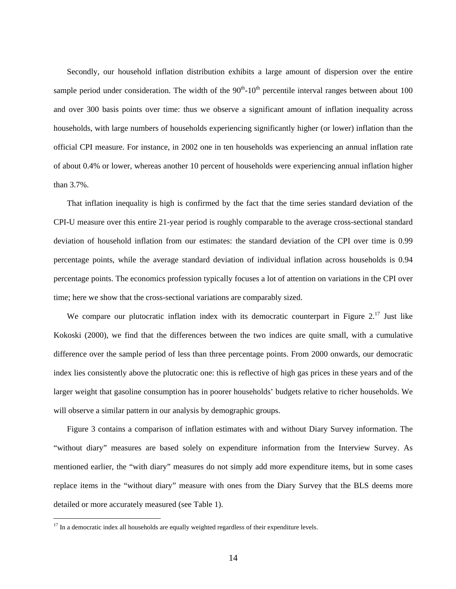Secondly, our household inflation distribution exhibits a large amount of dispersion over the entire sample period under consideration. The width of the  $90<sup>th</sup>$ -10<sup>th</sup> percentile interval ranges between about 100 and over 300 basis points over time: thus we observe a significant amount of inflation inequality across households, with large numbers of households experiencing significantly higher (or lower) inflation than the official CPI measure. For instance, in 2002 one in ten households was experiencing an annual inflation rate of about 0.4% or lower, whereas another 10 percent of households were experiencing annual inflation higher than 3.7%.

That inflation inequality is high is confirmed by the fact that the time series standard deviation of the CPI-U measure over this entire 21-year period is roughly comparable to the average cross-sectional standard deviation of household inflation from our estimates: the standard deviation of the CPI over time is 0.99 percentage points, while the average standard deviation of individual inflation across households is 0.94 percentage points. The economics profession typically focuses a lot of attention on variations in the CPI over time; here we show that the cross-sectional variations are comparably sized.

We compare our plutocratic inflation index with its democratic counterpart in Figure 2.<sup>17</sup> Just like Kokoski (2000), we find that the differences between the two indices are quite small, with a cumulative difference over the sample period of less than three percentage points. From 2000 onwards, our democratic index lies consistently above the plutocratic one: this is reflective of high gas prices in these years and of the larger weight that gasoline consumption has in poorer households' budgets relative to richer households. We will observe a similar pattern in our analysis by demographic groups.

Figure 3 contains a comparison of inflation estimates with and without Diary Survey information. The "without diary" measures are based solely on expenditure information from the Interview Survey. As mentioned earlier, the "with diary" measures do not simply add more expenditure items, but in some cases replace items in the "without diary" measure with ones from the Diary Survey that the BLS deems more detailed or more accurately measured (see Table 1).

<sup>&</sup>lt;sup>17</sup> In a democratic index all households are equally weighted regardless of their expenditure levels.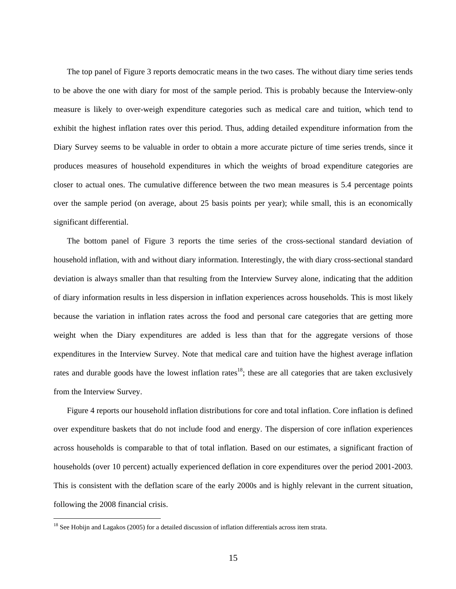The top panel of Figure 3 reports democratic means in the two cases. The without diary time series tends to be above the one with diary for most of the sample period. This is probably because the Interview-only measure is likely to over-weigh expenditure categories such as medical care and tuition, which tend to exhibit the highest inflation rates over this period. Thus, adding detailed expenditure information from the Diary Survey seems to be valuable in order to obtain a more accurate picture of time series trends, since it produces measures of household expenditures in which the weights of broad expenditure categories are closer to actual ones. The cumulative difference between the two mean measures is 5.4 percentage points over the sample period (on average, about 25 basis points per year); while small, this is an economically significant differential.

The bottom panel of Figure 3 reports the time series of the cross-sectional standard deviation of household inflation, with and without diary information. Interestingly, the with diary cross-sectional standard deviation is always smaller than that resulting from the Interview Survey alone, indicating that the addition of diary information results in less dispersion in inflation experiences across households. This is most likely because the variation in inflation rates across the food and personal care categories that are getting more weight when the Diary expenditures are added is less than that for the aggregate versions of those expenditures in the Interview Survey. Note that medical care and tuition have the highest average inflation rates and durable goods have the lowest inflation rates<sup>18</sup>; these are all categories that are taken exclusively from the Interview Survey.

Figure 4 reports our household inflation distributions for core and total inflation. Core inflation is defined over expenditure baskets that do not include food and energy. The dispersion of core inflation experiences across households is comparable to that of total inflation. Based on our estimates, a significant fraction of households (over 10 percent) actually experienced deflation in core expenditures over the period 2001-2003. This is consistent with the deflation scare of the early 2000s and is highly relevant in the current situation, following the 2008 financial crisis.

 $18$  See Hobijn and Lagakos (2005) for a detailed discussion of inflation differentials across item strata.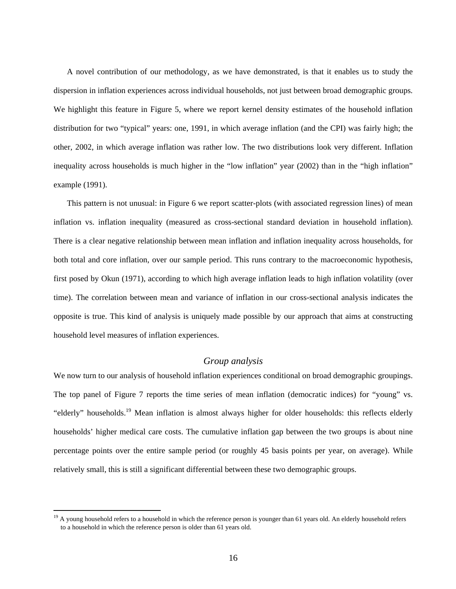A novel contribution of our methodology, as we have demonstrated, is that it enables us to study the dispersion in inflation experiences across individual households, not just between broad demographic groups. We highlight this feature in Figure 5, where we report kernel density estimates of the household inflation distribution for two "typical" years: one, 1991, in which average inflation (and the CPI) was fairly high; the other, 2002, in which average inflation was rather low. The two distributions look very different. Inflation inequality across households is much higher in the "low inflation" year (2002) than in the "high inflation" example (1991).

This pattern is not unusual: in Figure 6 we report scatter-plots (with associated regression lines) of mean inflation vs. inflation inequality (measured as cross-sectional standard deviation in household inflation). There is a clear negative relationship between mean inflation and inflation inequality across households, for both total and core inflation, over our sample period. This runs contrary to the macroeconomic hypothesis, first posed by Okun (1971), according to which high average inflation leads to high inflation volatility (over time). The correlation between mean and variance of inflation in our cross-sectional analysis indicates the opposite is true. This kind of analysis is uniquely made possible by our approach that aims at constructing household level measures of inflation experiences.

#### *Group analysis*

We now turn to our analysis of household inflation experiences conditional on broad demographic groupings. The top panel of Figure 7 reports the time series of mean inflation (democratic indices) for "young" vs. "elderly" households.<sup>19</sup> Mean inflation is almost always higher for older households: this reflects elderly households' higher medical care costs. The cumulative inflation gap between the two groups is about nine percentage points over the entire sample period (or roughly 45 basis points per year, on average). While relatively small, this is still a significant differential between these two demographic groups.

<sup>&</sup>lt;sup>19</sup> A young household refers to a household in which the reference person is younger than 61 years old. An elderly household refers to a household in which the reference person is older than 61 years old.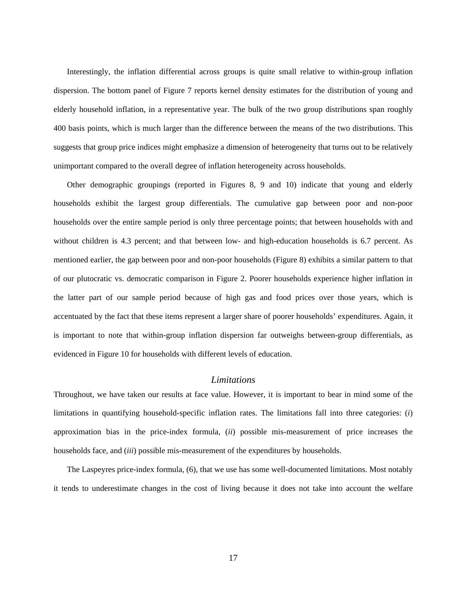Interestingly, the inflation differential across groups is quite small relative to within-group inflation dispersion. The bottom panel of Figure 7 reports kernel density estimates for the distribution of young and elderly household inflation, in a representative year. The bulk of the two group distributions span roughly 400 basis points, which is much larger than the difference between the means of the two distributions. This suggests that group price indices might emphasize a dimension of heterogeneity that turns out to be relatively unimportant compared to the overall degree of inflation heterogeneity across households.

Other demographic groupings (reported in Figures 8, 9 and 10) indicate that young and elderly households exhibit the largest group differentials. The cumulative gap between poor and non-poor households over the entire sample period is only three percentage points; that between households with and without children is 4.3 percent; and that between low- and high-education households is 6.7 percent. As mentioned earlier, the gap between poor and non-poor households (Figure 8) exhibits a similar pattern to that of our plutocratic vs. democratic comparison in Figure 2. Poorer households experience higher inflation in the latter part of our sample period because of high gas and food prices over those years, which is accentuated by the fact that these items represent a larger share of poorer households' expenditures. Again, it is important to note that within-group inflation dispersion far outweighs between-group differentials, as evidenced in Figure 10 for households with different levels of education.

#### *Limitations*

Throughout, we have taken our results at face value. However, it is important to bear in mind some of the limitations in quantifying household-specific inflation rates. The limitations fall into three categories: (*i*) approximation bias in the price-index formula, (*ii*) possible mis-measurement of price increases the households face, and (*iii*) possible mis-measurement of the expenditures by households.

The Laspeyres price-index formula, (6), that we use has some well-documented limitations. Most notably it tends to underestimate changes in the cost of living because it does not take into account the welfare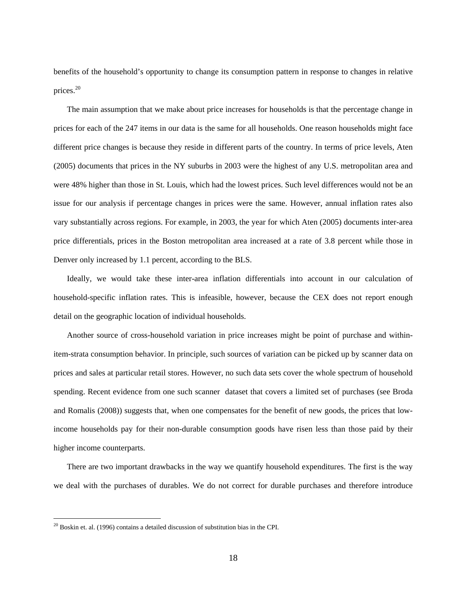benefits of the household's opportunity to change its consumption pattern in response to changes in relative prices.<sup>20</sup>

The main assumption that we make about price increases for households is that the percentage change in prices for each of the 247 items in our data is the same for all households. One reason households might face different price changes is because they reside in different parts of the country. In terms of price levels, Aten (2005) documents that prices in the NY suburbs in 2003 were the highest of any U.S. metropolitan area and were 48% higher than those in St. Louis, which had the lowest prices. Such level differences would not be an issue for our analysis if percentage changes in prices were the same. However, annual inflation rates also vary substantially across regions. For example, in 2003, the year for which Aten (2005) documents inter-area price differentials, prices in the Boston metropolitan area increased at a rate of 3.8 percent while those in Denver only increased by 1.1 percent, according to the BLS.

Ideally, we would take these inter-area inflation differentials into account in our calculation of household-specific inflation rates. This is infeasible, however, because the CEX does not report enough detail on the geographic location of individual households.

Another source of cross-household variation in price increases might be point of purchase and withinitem-strata consumption behavior. In principle, such sources of variation can be picked up by scanner data on prices and sales at particular retail stores. However, no such data sets cover the whole spectrum of household spending. Recent evidence from one such scanner dataset that covers a limited set of purchases (see Broda and Romalis (2008)) suggests that, when one compensates for the benefit of new goods, the prices that lowincome households pay for their non-durable consumption goods have risen less than those paid by their higher income counterparts.

There are two important drawbacks in the way we quantify household expenditures. The first is the way we deal with the purchases of durables. We do not correct for durable purchases and therefore introduce

 $20$  Boskin et. al. (1996) contains a detailed discussion of substitution bias in the CPI.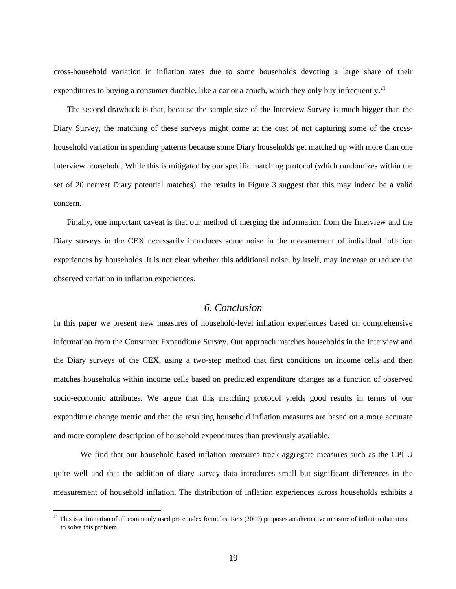cross-household variation in inflation rates due to some households devoting a large share of their expenditures to buying a consumer durable, like a car or a couch, which they only buy infrequently.<sup>21</sup>

The second drawback is that, because the sample size of the Interview Survey is much bigger than the Diary Survey, the matching of these surveys might come at the cost of not capturing some of the crosshousehold variation in spending patterns because some Diary households get matched up with more than one Interview household. While this is mitigated by our specific matching protocol (which randomizes within the set of 20 nearest Diary potential matches), the results in Figure 3 suggest that this may indeed be a valid concern.

Finally, one important caveat is that our method of merging the information from the Interview and the Diary surveys in the CEX necessarily introduces some noise in the measurement of individual inflation experiences by households. It is not clear whether this additional noise, by itself, may increase or reduce the observed variation in inflation experiences.

## *6. Conclusion*

In this paper we present new measures of household-level inflation experiences based on comprehensive information from the Consumer Expenditure Survey. Our approach matches households in the Interview and the Diary surveys of the CEX, using a two-step method that first conditions on income cells and then matches households within income cells based on predicted expenditure changes as a function of observed socio-economic attributes. We argue that this matching protocol yields good results in terms of our expenditure change metric and that the resulting household inflation measures are based on a more accurate and more complete description of household expenditures than previously available.

 We find that our household-based inflation measures track aggregate measures such as the CPI-U quite well and that the addition of diary survey data introduces small but significant differences in the measurement of household inflation. The distribution of inflation experiences across households exhibits a

 $21$  This is a limitation of all commonly used price index formulas. Reis (2009) proposes an alternative measure of inflation that aims to solve this problem.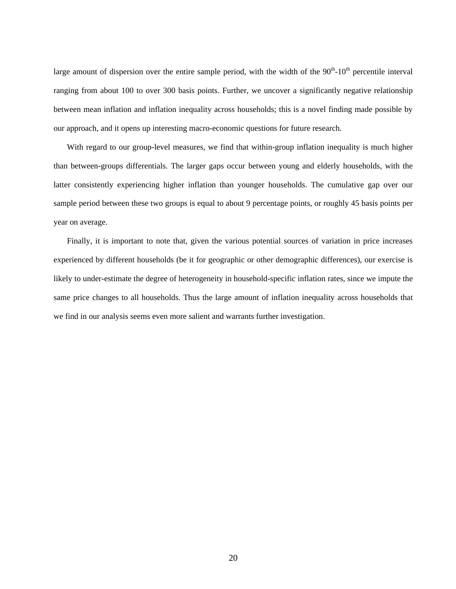large amount of dispersion over the entire sample period, with the width of the  $90<sup>th</sup>$ -10<sup>th</sup> percentile interval ranging from about 100 to over 300 basis points. Further, we uncover a significantly negative relationship between mean inflation and inflation inequality across households; this is a novel finding made possible by our approach, and it opens up interesting macro-economic questions for future research.

With regard to our group-level measures, we find that within-group inflation inequality is much higher than between-groups differentials. The larger gaps occur between young and elderly households, with the latter consistently experiencing higher inflation than younger households. The cumulative gap over our sample period between these two groups is equal to about 9 percentage points, or roughly 45 basis points per year on average.

Finally, it is important to note that, given the various potential sources of variation in price increases experienced by different households (be it for geographic or other demographic differences), our exercise is likely to under-estimate the degree of heterogeneity in household-specific inflation rates, since we impute the same price changes to all households. Thus the large amount of inflation inequality across households that we find in our analysis seems even more salient and warrants further investigation.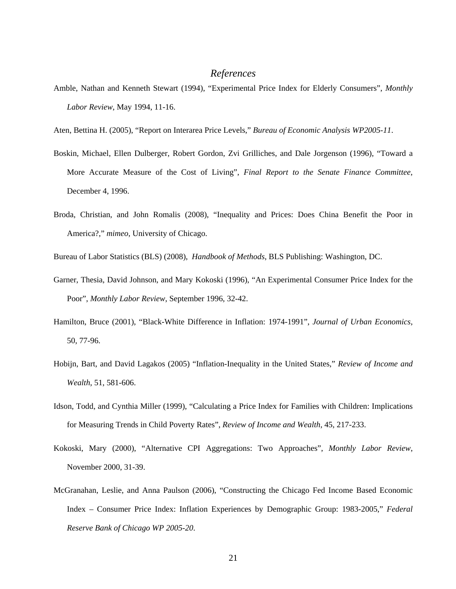#### *References*

- Amble, Nathan and Kenneth Stewart (1994), "Experimental Price Index for Elderly Consumers", *Monthly Labor Review*, May 1994, 11-16.
- Aten, Bettina H. (2005), "Report on Interarea Price Levels," *Bureau of Economic Analysis WP2005-11*.
- Boskin, Michael, Ellen Dulberger, Robert Gordon, Zvi Grilliches, and Dale Jorgenson (1996), "Toward a More Accurate Measure of the Cost of Living", *Final Report to the Senate Finance Committee*, December 4, 1996.
- Broda, Christian, and John Romalis (2008), "Inequality and Prices: Does China Benefit the Poor in America?," *mimeo*, University of Chicago.

Bureau of Labor Statistics (BLS) (2008), *Handbook of Methods*, BLS Publishing: Washington, DC.

- Garner, Thesia, David Johnson, and Mary Kokoski (1996), "An Experimental Consumer Price Index for the Poor", *Monthly Labor Review*, September 1996, 32-42.
- Hamilton, Bruce (2001), "Black-White Difference in Inflation: 1974-1991", *Journal of Urban Economics*, 50, 77-96.
- Hobijn, Bart, and David Lagakos (2005) "Inflation-Inequality in the United States," *Review of Income and Wealth*, 51, 581-606.
- Idson, Todd, and Cynthia Miller (1999), "Calculating a Price Index for Families with Children: Implications for Measuring Trends in Child Poverty Rates", *Review of Income and Wealth*, 45, 217-233.
- Kokoski, Mary (2000), "Alternative CPI Aggregations: Two Approaches", *Monthly Labor Review*, November 2000, 31-39.
- McGranahan, Leslie, and Anna Paulson (2006), "Constructing the Chicago Fed Income Based Economic Index – Consumer Price Index: Inflation Experiences by Demographic Group: 1983-2005," *Federal Reserve Bank of Chicago WP 2005-20*.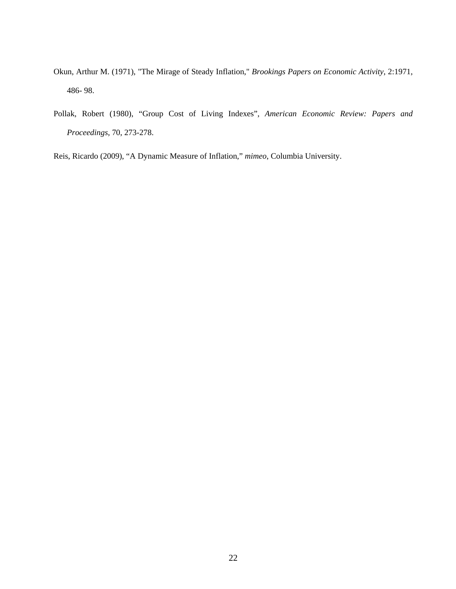- Okun, Arthur M. (1971), "The Mirage of Steady Inflation," *Brookings Papers on Economic Activity*, 2:1971, 486- 98.
- Pollak, Robert (1980), "Group Cost of Living Indexes", *American Economic Review: Papers and Proceedings*, 70, 273-278.
- Reis, Ricardo (2009), "A Dynamic Measure of Inflation," *mimeo*, Columbia University.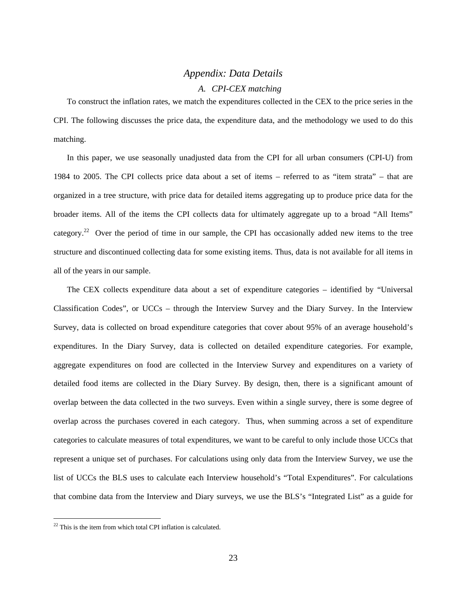## *Appendix: Data Details*

#### *A. CPI-CEX matching*

To construct the inflation rates, we match the expenditures collected in the CEX to the price series in the CPI. The following discusses the price data, the expenditure data, and the methodology we used to do this matching.

In this paper, we use seasonally unadjusted data from the CPI for all urban consumers (CPI-U) from 1984 to 2005. The CPI collects price data about a set of items – referred to as "item strata" – that are organized in a tree structure, with price data for detailed items aggregating up to produce price data for the broader items. All of the items the CPI collects data for ultimately aggregate up to a broad "All Items" category.<sup>22</sup> Over the period of time in our sample, the CPI has occasionally added new items to the tree structure and discontinued collecting data for some existing items. Thus, data is not available for all items in all of the years in our sample.

The CEX collects expenditure data about a set of expenditure categories – identified by "Universal Classification Codes", or UCCs – through the Interview Survey and the Diary Survey. In the Interview Survey, data is collected on broad expenditure categories that cover about 95% of an average household's expenditures. In the Diary Survey, data is collected on detailed expenditure categories. For example, aggregate expenditures on food are collected in the Interview Survey and expenditures on a variety of detailed food items are collected in the Diary Survey. By design, then, there is a significant amount of overlap between the data collected in the two surveys. Even within a single survey, there is some degree of overlap across the purchases covered in each category. Thus, when summing across a set of expenditure categories to calculate measures of total expenditures, we want to be careful to only include those UCCs that represent a unique set of purchases. For calculations using only data from the Interview Survey, we use the list of UCCs the BLS uses to calculate each Interview household's "Total Expenditures". For calculations that combine data from the Interview and Diary surveys, we use the BLS's "Integrated List" as a guide for

 $22$  This is the item from which total CPI inflation is calculated.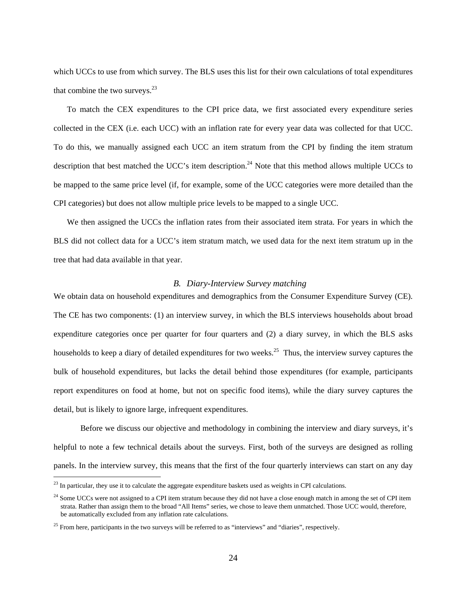which UCCs to use from which survey. The BLS uses this list for their own calculations of total expenditures that combine the two surveys. $^{23}$ 

To match the CEX expenditures to the CPI price data, we first associated every expenditure series collected in the CEX (i.e. each UCC) with an inflation rate for every year data was collected for that UCC. To do this, we manually assigned each UCC an item stratum from the CPI by finding the item stratum description that best matched the UCC's item description.<sup>24</sup> Note that this method allows multiple UCCs to be mapped to the same price level (if, for example, some of the UCC categories were more detailed than the CPI categories) but does not allow multiple price levels to be mapped to a single UCC.

We then assigned the UCCs the inflation rates from their associated item strata. For years in which the BLS did not collect data for a UCC's item stratum match, we used data for the next item stratum up in the tree that had data available in that year.

#### *B. Diary-Interview Survey matching*

We obtain data on household expenditures and demographics from the Consumer Expenditure Survey (CE). The CE has two components: (1) an interview survey, in which the BLS interviews households about broad expenditure categories once per quarter for four quarters and (2) a diary survey, in which the BLS asks households to keep a diary of detailed expenditures for two weeks.<sup>25</sup> Thus, the interview survey captures the bulk of household expenditures, but lacks the detail behind those expenditures (for example, participants report expenditures on food at home, but not on specific food items), while the diary survey captures the detail, but is likely to ignore large, infrequent expenditures.

Before we discuss our objective and methodology in combining the interview and diary surveys, it's helpful to note a few technical details about the surveys. First, both of the surveys are designed as rolling panels. In the interview survey, this means that the first of the four quarterly interviews can start on any day

 $^{23}$  In particular, they use it to calculate the aggregate expenditure baskets used as weights in CPI calculations.

<sup>&</sup>lt;sup>24</sup> Some UCCs were not assigned to a CPI item stratum because they did not have a close enough match in among the set of CPI item strata. Rather than assign them to the broad "All Items" series, we chose to leave them unmatched. Those UCC would, therefore, be automatically excluded from any inflation rate calculations.

<sup>&</sup>lt;sup>25</sup> From here, participants in the two surveys will be referred to as "interviews" and "diaries", respectively.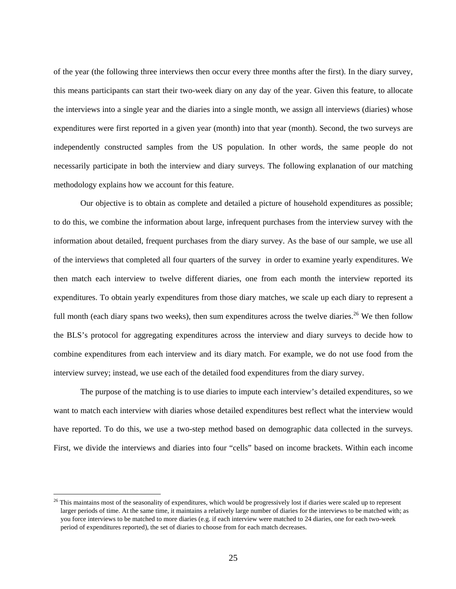of the year (the following three interviews then occur every three months after the first). In the diary survey, this means participants can start their two-week diary on any day of the year. Given this feature, to allocate the interviews into a single year and the diaries into a single month, we assign all interviews (diaries) whose expenditures were first reported in a given year (month) into that year (month). Second, the two surveys are independently constructed samples from the US population. In other words, the same people do not necessarily participate in both the interview and diary surveys. The following explanation of our matching methodology explains how we account for this feature.

Our objective is to obtain as complete and detailed a picture of household expenditures as possible; to do this, we combine the information about large, infrequent purchases from the interview survey with the information about detailed, frequent purchases from the diary survey. As the base of our sample, we use all of the interviews that completed all four quarters of the survey in order to examine yearly expenditures. We then match each interview to twelve different diaries, one from each month the interview reported its expenditures. To obtain yearly expenditures from those diary matches, we scale up each diary to represent a full month (each diary spans two weeks), then sum expenditures across the twelve diaries.<sup>26</sup> We then follow the BLS's protocol for aggregating expenditures across the interview and diary surveys to decide how to combine expenditures from each interview and its diary match. For example, we do not use food from the interview survey; instead, we use each of the detailed food expenditures from the diary survey.

The purpose of the matching is to use diaries to impute each interview's detailed expenditures, so we want to match each interview with diaries whose detailed expenditures best reflect what the interview would have reported. To do this, we use a two-step method based on demographic data collected in the surveys. First, we divide the interviews and diaries into four "cells" based on income brackets. Within each income

 $^{26}$  This maintains most of the seasonality of expenditures, which would be progressively lost if diaries were scaled up to represent larger periods of time. At the same time, it maintains a relatively large number of diaries for the interviews to be matched with; as you force interviews to be matched to more diaries (e.g. if each interview were matched to 24 diaries, one for each two-week period of expenditures reported), the set of diaries to choose from for each match decreases.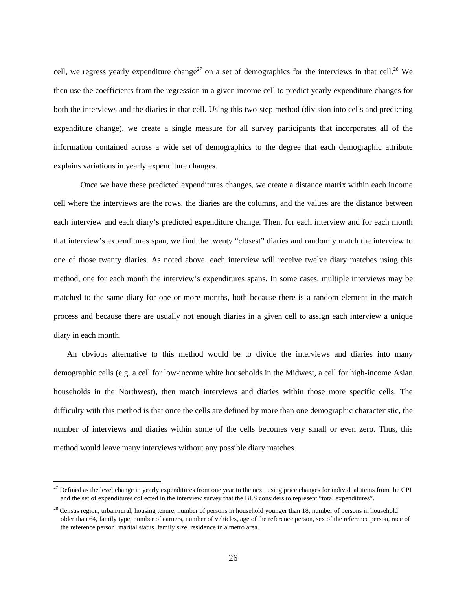cell, we regress yearly expenditure change<sup>27</sup> on a set of demographics for the interviews in that cell.<sup>28</sup> We then use the coefficients from the regression in a given income cell to predict yearly expenditure changes for both the interviews and the diaries in that cell. Using this two-step method (division into cells and predicting expenditure change), we create a single measure for all survey participants that incorporates all of the information contained across a wide set of demographics to the degree that each demographic attribute explains variations in yearly expenditure changes.

Once we have these predicted expenditures changes, we create a distance matrix within each income cell where the interviews are the rows, the diaries are the columns, and the values are the distance between each interview and each diary's predicted expenditure change. Then, for each interview and for each month that interview's expenditures span, we find the twenty "closest" diaries and randomly match the interview to one of those twenty diaries. As noted above, each interview will receive twelve diary matches using this method, one for each month the interview's expenditures spans. In some cases, multiple interviews may be matched to the same diary for one or more months, both because there is a random element in the match process and because there are usually not enough diaries in a given cell to assign each interview a unique diary in each month.

An obvious alternative to this method would be to divide the interviews and diaries into many demographic cells (e.g. a cell for low-income white households in the Midwest, a cell for high-income Asian households in the Northwest), then match interviews and diaries within those more specific cells. The difficulty with this method is that once the cells are defined by more than one demographic characteristic, the number of interviews and diaries within some of the cells becomes very small or even zero. Thus, this method would leave many interviews without any possible diary matches.

<sup>&</sup>lt;sup>27</sup> Defined as the level change in yearly expenditures from one year to the next, using price changes for individual items from the CPI and the set of expenditures collected in the interview survey that the BLS considers to represent "total expenditures".

 $28$  Census region, urban/rural, housing tenure, number of persons in household younger than 18, number of persons in household older than 64, family type, number of earners, number of vehicles, age of the reference person, sex of the reference person, race of the reference person, marital status, family size, residence in a metro area.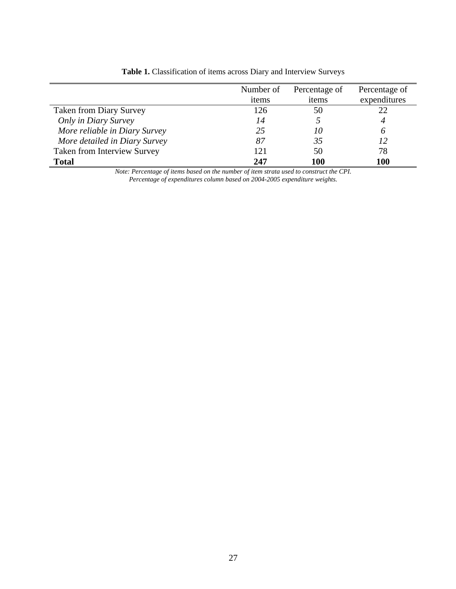|                                    | Number of | Percentage of | Percentage of |
|------------------------------------|-----------|---------------|---------------|
|                                    | items     | items         | expenditures  |
| <b>Taken from Diary Survey</b>     | 126       | 50            | 22            |
| Only in Diary Survey               | 14        |               |               |
| More reliable in Diary Survey      | 25        | 10            | 6             |
| More detailed in Diary Survey      | 87        | 35            | 12            |
| <b>Taken from Interview Survey</b> | 121       | 50            | 78            |
| <b>Total</b>                       | 247       | 100           | <b>100</b>    |

**Table 1.** Classification of items across Diary and Interview Surveys

*Note: Percentage of items based on the number of item strata used to construct the CPI. Percentage of expenditures column based on 2004-2005 expenditure weights.*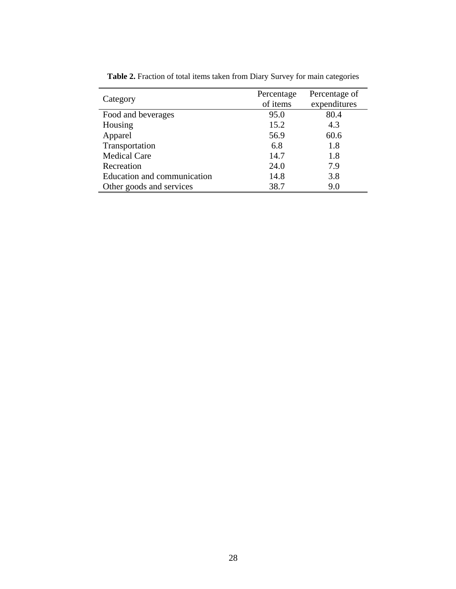|                             | Percentage | Percentage of |
|-----------------------------|------------|---------------|
| Category                    | of items   | expenditures  |
| Food and beverages          | 95.0       | 80.4          |
| Housing                     | 15.2       | 4.3           |
| Apparel                     | 56.9       | 60.6          |
| Transportation              | 6.8        | 1.8           |
| <b>Medical Care</b>         | 14.7       | 1.8           |
| Recreation                  | 24.0       | 7.9           |
| Education and communication | 14.8       | 3.8           |
| Other goods and services    | 38.7       | 9.0           |

**Table 2.** Fraction of total items taken from Diary Survey for main categories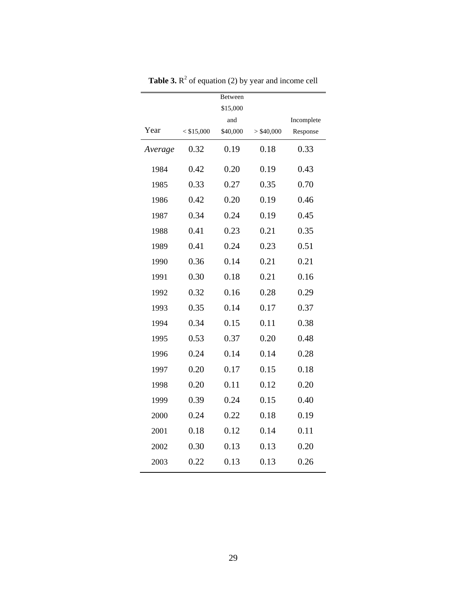|         |              | Between  |              |            |
|---------|--------------|----------|--------------|------------|
|         |              | \$15,000 |              |            |
|         |              | and      |              | Incomplete |
| Year    | $<$ \$15,000 | \$40,000 | $>$ \$40,000 | Response   |
| Average | 0.32         | 0.19     | 0.18         | 0.33       |
| 1984    | 0.42         | 0.20     | 0.19         | 0.43       |
| 1985    | 0.33         | 0.27     | 0.35         | 0.70       |
| 1986    | 0.42         | 0.20     | 0.19         | 0.46       |
| 1987    | 0.34         | 0.24     | 0.19         | 0.45       |
| 1988    | 0.41         | 0.23     | 0.21         | 0.35       |
| 1989    | 0.41         | 0.24     | 0.23         | 0.51       |
| 1990    | 0.36         | 0.14     | 0.21         | 0.21       |
| 1991    | 0.30         | 0.18     | 0.21         | 0.16       |
| 1992    | 0.32         | 0.16     | 0.28         | 0.29       |
| 1993    | 0.35         | 0.14     | 0.17         | 0.37       |
| 1994    | 0.34         | 0.15     | 0.11         | 0.38       |
| 1995    | 0.53         | 0.37     | 0.20         | 0.48       |
| 1996    | 0.24         | 0.14     | 0.14         | 0.28       |
| 1997    | 0.20         | 0.17     | 0.15         | 0.18       |
| 1998    | 0.20         | 0.11     | 0.12         | 0.20       |
| 1999    | 0.39         | 0.24     | 0.15         | 0.40       |
| 2000    | 0.24         | 0.22     | 0.18         | 0.19       |
| 2001    | 0.18         | 0.12     | 0.14         | 0.11       |
| 2002    | 0.30         | 0.13     | 0.13         | 0.20       |
| 2003    | 0.22         | 0.13     | 0.13         | 0.26       |

**Table 3.**  $\mathbb{R}^2$  of equation (2) by year and income cell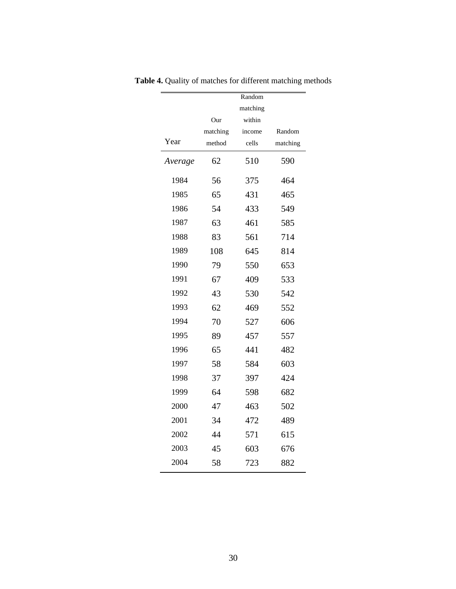|         |          | Random   |          |
|---------|----------|----------|----------|
|         |          | matching |          |
|         | Our      | within   |          |
|         | matching | income   | Random   |
| Year    | method   | cells    | matching |
| Average | 62       | 510      | 590      |
| 1984    | 56       | 375      | 464      |
| 1985    | 65       | 431      | 465      |
| 1986    | 54       | 433      | 549      |
| 1987    | 63       | 461      | 585      |
| 1988    | 83       | 561      | 714      |
| 1989    | 108      | 645      | 814      |
| 1990    | 79       | 550      | 653      |
| 1991    | 67       | 409      | 533      |
| 1992    | 43       | 530      | 542      |
| 1993    | 62       | 469      | 552      |
| 1994    | 70       | 527      | 606      |
| 1995    | 89       | 457      | 557      |
| 1996    | 65       | 441      | 482      |
| 1997    | 58       | 584      | 603      |
| 1998    | 37       | 397      | 424      |
| 1999    | 64       | 598      | 682      |
| 2000    | 47       | 463      | 502      |
| 2001    | 34       | 472      | 489      |
| 2002    | 44       | 571      | 615      |
| 2003    | 45       | 603      | 676      |
| 2004    | 58       | 723      | 882      |

**Table 4.** Quality of matches for different matching methods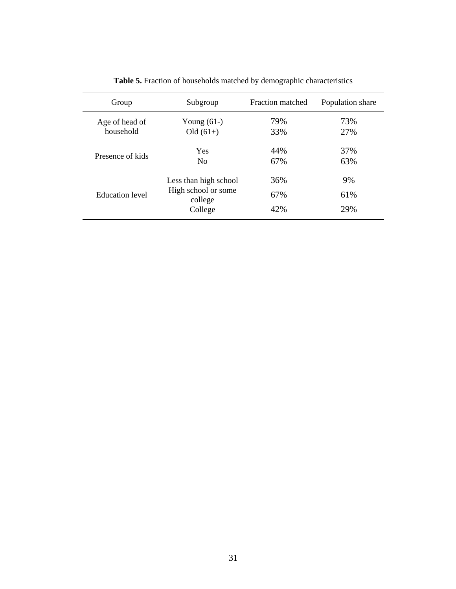| Group                  | Subgroup                                                           | Fraction matched  | Population share |
|------------------------|--------------------------------------------------------------------|-------------------|------------------|
| Age of head of         | Young $(61-)$                                                      | 79%               | 73%              |
| household              | $Old (61+)$                                                        | 33%               | 27%              |
| Presence of kids       | Yes                                                                | 44%               | 37%              |
|                        | N <sub>0</sub>                                                     | 67%               | 63%              |
| <b>Education</b> level | Less than high school<br>High school or some<br>college<br>College | 36%<br>67%<br>42% | 9%<br>61%<br>29% |

**Table 5.** Fraction of households matched by demographic characteristics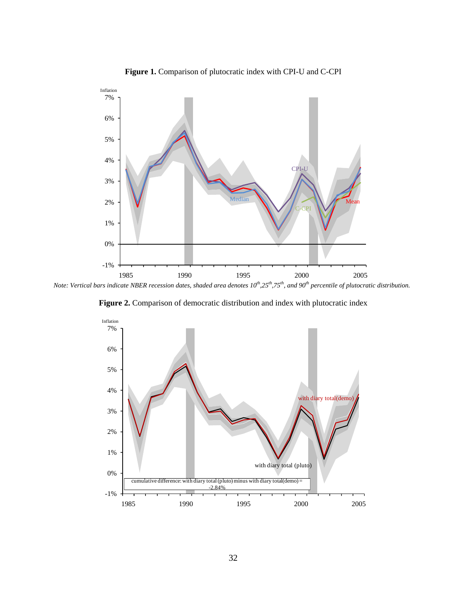

**Figure 1.** Comparison of plutocratic index with CPI-U and C-CPI

*Note: Vertical bars indicate NBER recession dates, shaded area denotes*  $10^{th}$ *,25<sup>th</sup>,75<sup>th</sup>, and 90<sup>th</sup> percentile of plutocratic distribution.* 



**Figure 2.** Comparison of democratic distribution and index with plutocratic index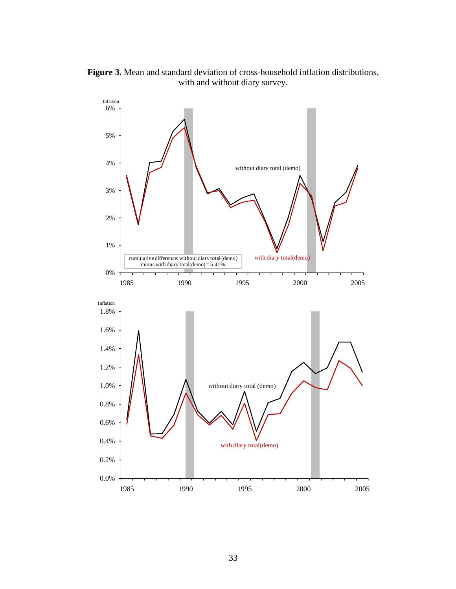**Figure 3.** Mean and standard deviation of cross-household inflation distributions, with and without diary survey.

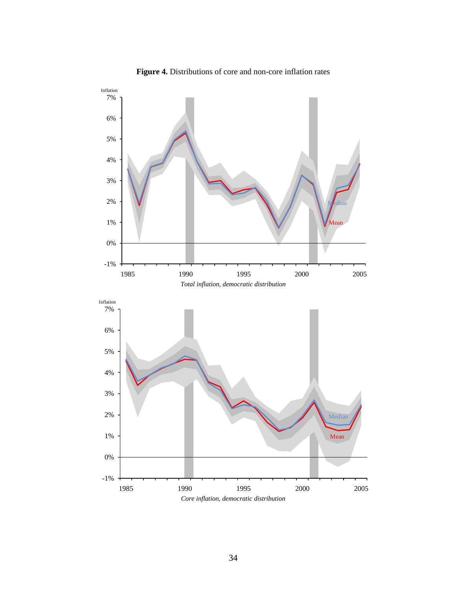

**Figure 4.** Distributions of core and non-core inflation rates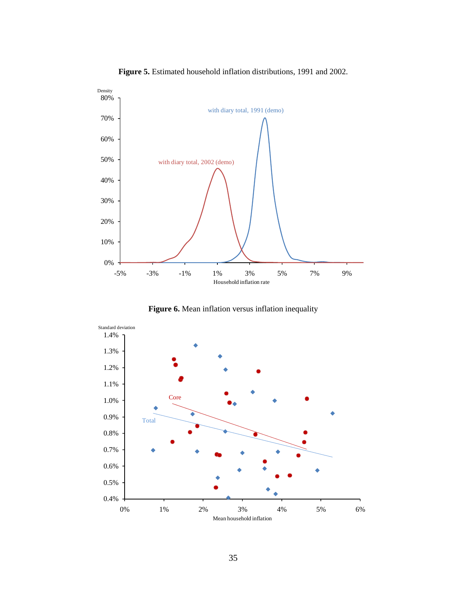

**Figure 5.** Estimated household inflation distributions, 1991 and 2002.

Figure 6. Mean inflation versus inflation inequality

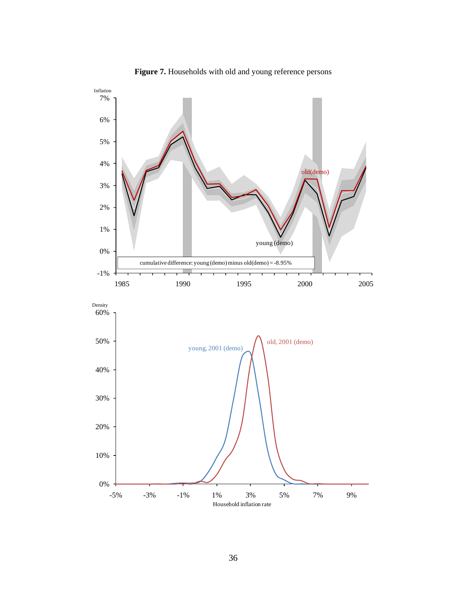

**Figure 7.** Households with old and young reference persons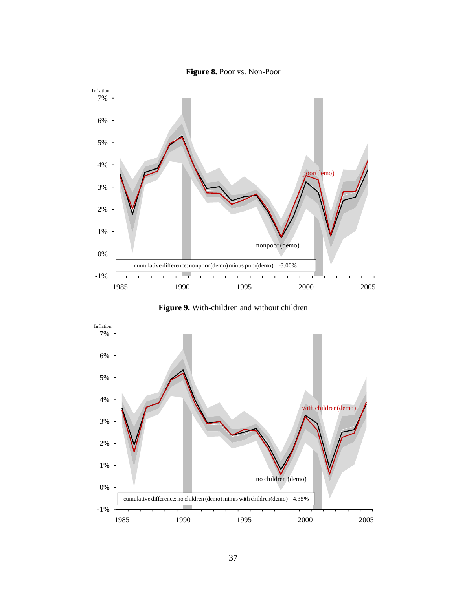

**Figure 8.** Poor vs. Non-Poor